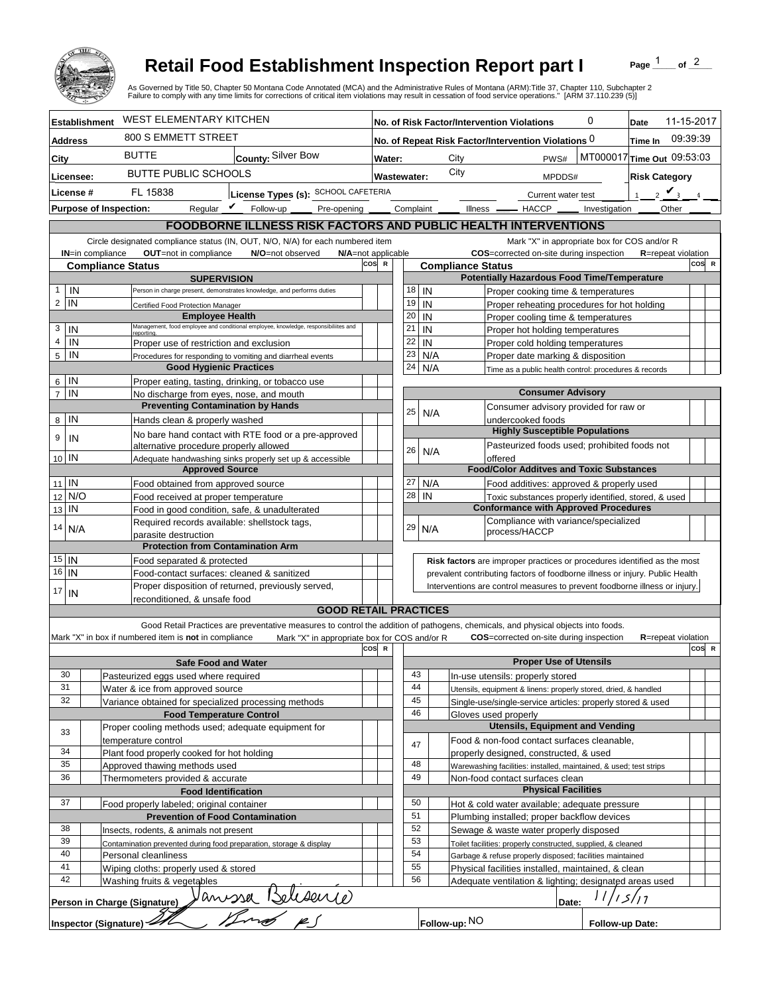

## **Retail Food Establishment Inspection Report part I**

Page  $\frac{1}{1}$  of  $\frac{2}{1}$ 

|                                                |                               | <b>Retail Food Establishment Inspection Report part I</b><br>As Governed by Title 50, Chapter 50 Montana Code Annotated (MCA) and the Administrative Rules of Montana (ARM):Title 37, Chapter 110, Subchapter 2<br>Failure to comply with any time limits for corrections of critical item violations may result in cessation of food service operations." [ARM 37.110.239 (5)] |                           |              |           |          |           |                                                     |           |         |               |                               |       |                                                                                            | Page                 |                            | of $2$   |       |
|------------------------------------------------|-------------------------------|---------------------------------------------------------------------------------------------------------------------------------------------------------------------------------------------------------------------------------------------------------------------------------------------------------------------------------------------------------------------------------|---------------------------|--------------|-----------|----------|-----------|-----------------------------------------------------|-----------|---------|---------------|-------------------------------|-------|--------------------------------------------------------------------------------------------|----------------------|----------------------------|----------|-------|
|                                                | <b>Establishment</b>          | <b>WEST ELEMENTARY KITCHEN</b>                                                                                                                                                                                                                                                                                                                                                  |                           |              |           |          |           | No. of Risk Factor/Intervention Violations          |           |         |               |                               |       | 0                                                                                          | Date                 | 11-15-2017                 |          |       |
| <b>Address</b>                                 |                               | 800 S EMMETT STREET                                                                                                                                                                                                                                                                                                                                                             |                           |              |           |          |           | No. of Repeat Risk Factor/Intervention Violations 0 |           |         |               |                               |       |                                                                                            | Time In              |                            | 09:39:39 |       |
| City                                           |                               | <b>BUTTE</b><br>County: Silver Bow                                                                                                                                                                                                                                                                                                                                              |                           | Water:       |           |          |           | City                                                |           |         |               | PWS#                          |       | MT000017 Time Out 09:53:03                                                                 |                      |                            |          |       |
|                                                |                               | <b>BUTTE PUBLIC SCHOOLS</b>                                                                                                                                                                                                                                                                                                                                                     |                           |              |           |          |           | City                                                |           |         |               |                               |       |                                                                                            |                      |                            |          |       |
| Licensee:                                      |                               |                                                                                                                                                                                                                                                                                                                                                                                 |                           | Wastewater:  |           |          |           |                                                     |           |         |               | MPDDS#                        |       |                                                                                            | <b>Risk Category</b> |                            |          |       |
| License #                                      |                               | License Types (s): SCHOOL CAFETERIA<br>FL 15838                                                                                                                                                                                                                                                                                                                                 |                           |              |           |          |           |                                                     |           |         |               | Current water test            |       |                                                                                            | 1                    | $2 \vee$                   |          |       |
|                                                | <b>Purpose of Inspection:</b> | Regular $\mathcal{V}$ Follow-up ____<br>Pre-opening                                                                                                                                                                                                                                                                                                                             |                           |              | Complaint |          |           |                                                     | Illness — |         |               | $-$ HACCP $\_\_$              |       | Investigation                                                                              |                      | Other                      |          |       |
|                                                |                               | <b>FOODBORNE ILLNESS RISK FACTORS AND PUBLIC HEALTH INTERVENTIONS</b>                                                                                                                                                                                                                                                                                                           |                           |              |           |          |           |                                                     |           |         |               |                               |       |                                                                                            |                      |                            |          |       |
|                                                |                               | Circle designated compliance status (IN, OUT, N/O, N/A) for each numbered item                                                                                                                                                                                                                                                                                                  |                           |              |           |          |           |                                                     |           |         |               |                               |       | Mark "X" in appropriate box for COS and/or R                                               |                      |                            |          |       |
|                                                | <b>IN=in compliance</b>       | OUT=not in compliance<br>N/O=not observed                                                                                                                                                                                                                                                                                                                                       | N/A=not applicable<br>cos | $\mathbb{R}$ |           |          |           | <b>Compliance Status</b>                            |           |         |               |                               |       | COS=corrected on-site during inspection                                                    |                      | <b>R</b> =repeat violation | COS R    |       |
| <b>Compliance Status</b><br><b>SUPERVISION</b> |                               |                                                                                                                                                                                                                                                                                                                                                                                 |                           |              |           |          |           |                                                     |           |         |               |                               |       | <b>Potentially Hazardous Food Time/Temperature</b>                                         |                      |                            |          |       |
| IN<br>$\mathbf{1}$                             |                               | Person in charge present, demonstrates knowledge, and performs duties                                                                                                                                                                                                                                                                                                           |                           |              |           | 18       | IN        |                                                     |           |         |               |                               |       | Proper cooking time & temperatures                                                         |                      |                            |          |       |
| $\overline{c}$<br>IN                           |                               | Certified Food Protection Manager                                                                                                                                                                                                                                                                                                                                               |                           |              |           | 19       | IN        |                                                     |           |         |               |                               |       | Proper reheating procedures for hot holding                                                |                      |                            |          |       |
|                                                |                               | <b>Employee Health</b><br>Management, food employee and conditional employee, knowledge, responsibiliites and                                                                                                                                                                                                                                                                   |                           |              | 20        |          | IN        |                                                     |           |         |               |                               |       | Proper cooling time & temperatures                                                         |                      |                            |          |       |
| 3<br>IN<br>$\overline{4}$                      |                               | reportina.                                                                                                                                                                                                                                                                                                                                                                      |                           |              |           | 21       | IN        |                                                     |           |         |               |                               |       | Proper hot holding temperatures                                                            |                      |                            |          |       |
| IN<br>5<br>IN                                  |                               | Proper use of restriction and exclusion                                                                                                                                                                                                                                                                                                                                         |                           |              | 23        | 22       | IN<br>N/A |                                                     |           |         |               |                               |       | Proper cold holding temperatures                                                           |                      |                            |          |       |
|                                                |                               | Procedures for responding to vomiting and diarrheal events<br><b>Good Hygienic Practices</b>                                                                                                                                                                                                                                                                                    |                           |              | 24        |          | N/A       |                                                     |           |         |               |                               |       | Proper date marking & disposition<br>Time as a public health control: procedures & records |                      |                            |          |       |
| IN<br>6                                        |                               | Proper eating, tasting, drinking, or tobacco use                                                                                                                                                                                                                                                                                                                                |                           |              |           |          |           |                                                     |           |         |               |                               |       |                                                                                            |                      |                            |          |       |
| $\overline{7}$<br>IN                           |                               | No discharge from eyes, nose, and mouth                                                                                                                                                                                                                                                                                                                                         |                           |              |           |          |           |                                                     |           |         |               | <b>Consumer Advisory</b>      |       |                                                                                            |                      |                            |          |       |
|                                                |                               | <b>Preventing Contamination by Hands</b>                                                                                                                                                                                                                                                                                                                                        |                           |              |           | 25       | N/A       |                                                     |           |         |               |                               |       | Consumer advisory provided for raw or                                                      |                      |                            |          |       |
| IN<br>8                                        |                               | Hands clean & properly washed                                                                                                                                                                                                                                                                                                                                                   |                           |              |           |          |           |                                                     |           |         |               | undercooked foods             |       |                                                                                            |                      |                            |          |       |
| 9<br>IN                                        |                               | No bare hand contact with RTE food or a pre-approved                                                                                                                                                                                                                                                                                                                            |                           |              |           |          |           |                                                     |           |         |               |                               |       | <b>Highly Susceptible Populations</b>                                                      |                      |                            |          |       |
| 10 IN                                          |                               | alternative procedure properly allowed                                                                                                                                                                                                                                                                                                                                          |                           |              |           | 26       | N/A       |                                                     |           | offered |               |                               |       | Pasteurized foods used; prohibited foods not                                               |                      |                            |          |       |
|                                                |                               | Adequate handwashing sinks properly set up & accessible<br><b>Approved Source</b>                                                                                                                                                                                                                                                                                               |                           |              |           |          |           |                                                     |           |         |               |                               |       | <b>Food/Color Additves and Toxic Substances</b>                                            |                      |                            |          |       |
| $11$ IN                                        |                               | Food obtained from approved source                                                                                                                                                                                                                                                                                                                                              |                           |              | 27        |          | N/A       |                                                     |           |         |               |                               |       | Food additives: approved & properly used                                                   |                      |                            |          |       |
| N/O<br>12                                      |                               | Food received at proper temperature                                                                                                                                                                                                                                                                                                                                             |                           |              |           | 28       | IN        |                                                     |           |         |               |                               |       | Toxic substances properly identified, stored, & used                                       |                      |                            |          |       |
| IN<br>13                                       |                               | Food in good condition, safe, & unadulterated                                                                                                                                                                                                                                                                                                                                   |                           |              |           |          |           |                                                     |           |         |               |                               |       | <b>Conformance with Approved Procedures</b>                                                |                      |                            |          |       |
| 14<br>N/A                                      |                               | Required records available: shellstock tags,                                                                                                                                                                                                                                                                                                                                    |                           |              |           | 29       | N/A       |                                                     |           |         |               |                               |       | Compliance with variance/specialized                                                       |                      |                            |          |       |
|                                                |                               | parasite destruction                                                                                                                                                                                                                                                                                                                                                            |                           |              |           |          |           |                                                     |           |         | process/HACCP |                               |       |                                                                                            |                      |                            |          |       |
| $15$ IN                                        |                               | <b>Protection from Contamination Arm</b>                                                                                                                                                                                                                                                                                                                                        |                           |              |           |          |           |                                                     |           |         |               |                               |       |                                                                                            |                      |                            |          |       |
| $16$   IN                                      |                               | Food separated & protected                                                                                                                                                                                                                                                                                                                                                      |                           |              |           |          |           |                                                     |           |         |               |                               |       | Risk factors are improper practices or procedures identified as the most                   |                      |                            |          |       |
|                                                |                               | Food-contact surfaces: cleaned & sanitized<br>prevalent contributing factors of foodborne illness or injury. Public Health<br>Proper disposition of returned, previously served,<br>Interventions are control measures to prevent foodborne illness or injury.                                                                                                                  |                           |              |           |          |           |                                                     |           |         |               |                               |       |                                                                                            |                      |                            |          |       |
| 17<br>IN                                       |                               | reconditioned. & unsafe food                                                                                                                                                                                                                                                                                                                                                    |                           |              |           |          |           |                                                     |           |         |               |                               |       |                                                                                            |                      |                            |          |       |
|                                                |                               | <b>GOOD RETAIL PRACTICES</b>                                                                                                                                                                                                                                                                                                                                                    |                           |              |           |          |           |                                                     |           |         |               |                               |       |                                                                                            |                      |                            |          |       |
|                                                |                               | Good Retail Practices are preventative measures to control the addition of pathogens, chemicals, and physical objects into foods.                                                                                                                                                                                                                                               |                           |              |           |          |           |                                                     |           |         |               |                               |       |                                                                                            |                      |                            |          |       |
|                                                |                               | Mark "X" in box if numbered item is not in compliance<br>Mark "X" in appropriate box for COS and/or R                                                                                                                                                                                                                                                                           |                           |              |           |          |           |                                                     |           |         |               |                               |       | <b>COS</b> =corrected on-site during inspection                                            |                      | <b>R</b> =repeat violation |          |       |
|                                                |                               |                                                                                                                                                                                                                                                                                                                                                                                 | cos                       | $\mathbf R$  |           |          |           |                                                     |           |         |               | <b>Proper Use of Utensils</b> |       |                                                                                            |                      |                            |          | COS R |
| 30                                             |                               | <b>Safe Food and Water</b><br>Pasteurized eggs used where required                                                                                                                                                                                                                                                                                                              |                           |              |           | 43       |           | In-use utensils: properly stored                    |           |         |               |                               |       |                                                                                            |                      |                            |          |       |
| 31                                             |                               | Water & ice from approved source                                                                                                                                                                                                                                                                                                                                                |                           |              |           | 44       |           |                                                     |           |         |               |                               |       | Utensils, equipment & linens: properly stored, dried, & handled                            |                      |                            |          |       |
| 32                                             |                               | Variance obtained for specialized processing methods                                                                                                                                                                                                                                                                                                                            |                           |              |           | 45       |           |                                                     |           |         |               |                               |       | Single-use/single-service articles: properly stored & used                                 |                      |                            |          |       |
|                                                |                               | <b>Food Temperature Control</b>                                                                                                                                                                                                                                                                                                                                                 |                           |              |           | 46       |           | Gloves used properly                                |           |         |               |                               |       |                                                                                            |                      |                            |          |       |
| 33                                             |                               | Proper cooling methods used; adequate equipment for                                                                                                                                                                                                                                                                                                                             |                           |              |           |          |           |                                                     |           |         |               |                               |       | <b>Utensils, Equipment and Vending</b>                                                     |                      |                            |          |       |
|                                                |                               | temperature control                                                                                                                                                                                                                                                                                                                                                             |                           |              |           | 47       |           |                                                     |           |         |               |                               |       | Food & non-food contact surfaces cleanable,                                                |                      |                            |          |       |
| 34                                             |                               | Plant food properly cooked for hot holding                                                                                                                                                                                                                                                                                                                                      |                           |              |           |          |           | properly designed, constructed, & used              |           |         |               |                               |       |                                                                                            |                      |                            |          |       |
| 35<br>36                                       |                               | Approved thawing methods used<br>Thermometers provided & accurate                                                                                                                                                                                                                                                                                                               |                           |              |           | 48<br>49 |           |                                                     |           |         |               |                               |       | Warewashing facilities: installed, maintained, & used; test strips                         |                      |                            |          |       |
|                                                |                               | <b>Food Identification</b>                                                                                                                                                                                                                                                                                                                                                      |                           |              |           |          |           | Non-food contact surfaces clean                     |           |         |               | <b>Physical Facilities</b>    |       |                                                                                            |                      |                            |          |       |
| 37                                             |                               | Food properly labeled; original container                                                                                                                                                                                                                                                                                                                                       |                           |              |           | 50       |           |                                                     |           |         |               |                               |       | Hot & cold water available; adequate pressure                                              |                      |                            |          |       |
|                                                |                               | <b>Prevention of Food Contamination</b>                                                                                                                                                                                                                                                                                                                                         |                           |              |           | 51       |           |                                                     |           |         |               |                               |       | Plumbing installed; proper backflow devices                                                |                      |                            |          |       |
| 38                                             |                               | Insects, rodents, & animals not present                                                                                                                                                                                                                                                                                                                                         |                           |              |           | 52       |           |                                                     |           |         |               |                               |       | Sewage & waste water properly disposed                                                     |                      |                            |          |       |
| 39                                             |                               | Contamination prevented during food preparation, storage & display                                                                                                                                                                                                                                                                                                              |                           |              |           | 53       |           |                                                     |           |         |               |                               |       | Toilet facilities: properly constructed, supplied, & cleaned                               |                      |                            |          |       |
| 40                                             |                               | Personal cleanliness                                                                                                                                                                                                                                                                                                                                                            |                           |              |           | 54       |           |                                                     |           |         |               |                               |       | Garbage & refuse properly disposed; facilities maintained                                  |                      |                            |          |       |
| 41<br>42                                       |                               | Wiping cloths: properly used & stored                                                                                                                                                                                                                                                                                                                                           |                           |              |           | 55<br>56 |           |                                                     |           |         |               |                               |       | Physical facilities installed, maintained, & clean                                         |                      |                            |          |       |
|                                                |                               | Washing fruits & vegetables                                                                                                                                                                                                                                                                                                                                                     |                           |              |           |          |           |                                                     |           |         |               |                               |       | Adequate ventilation & lighting; designated areas used                                     |                      |                            |          |       |
|                                                |                               | Person in Charge (Signature)                                                                                                                                                                                                                                                                                                                                                    |                           |              |           |          |           |                                                     |           |         |               |                               | Date: |                                                                                            |                      |                            |          |       |
|                                                |                               | e) Janussa Belesence<br>Inspector (Signature)                                                                                                                                                                                                                                                                                                                                   |                           |              |           |          |           | Follow-up: NO                                       |           |         |               |                               |       | Follow-up Date:                                                                            |                      |                            |          |       |